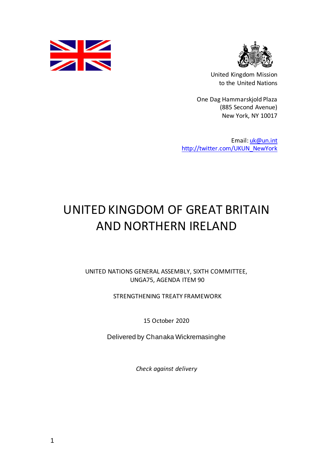



United Kingdom Mission to the United Nations

One Dag Hammarskjold Plaza (885 Second Avenue) New York, NY 10017

Email: uk@un.int http://twitter.com/UKUN\_NewYork

## UNITED KINGDOM OF GREAT BRITAIN AND NORTHERN IRELAND

UNITED NATIONS GENERAL ASSEMBLY, SIXTH COMMITTEE, UNGA75, AGENDA ITEM 90

STRENGTHENING TREATY FRAMEWORK

15 October 2020

Delivered by Chanaka Wickremasinghe

*Check against delivery*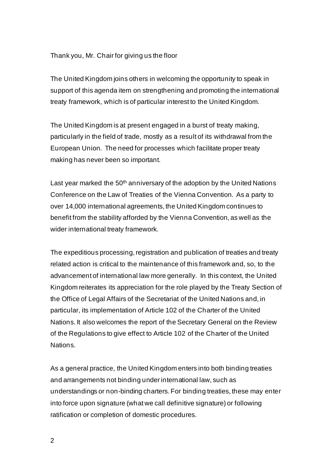## Thank you, Mr. Chair for giving us the floor

The United Kingdom joins others in welcoming the opportunity to speak in support of this agenda item on strengthening and promoting the international treaty framework, which is of particular interest to the United Kingdom.

The United Kingdom is at present engaged in a burst of treaty making, particularly in the field of trade, mostly as a result of its withdrawal from the European Union. The need for processes which facilitate proper treaty making has never been so important.

Last year marked the 50<sup>th</sup> anniversary of the adoption by the United Nations Conference on the Law of Treaties of the Vienna Convention. As a party to over 14,000 international agreements, the United Kingdom continues to benefit from the stability afforded by the Vienna Convention, as well as the wider international treaty framework.

The expeditious processing, registration and publication of treaties and treaty related action is critical to the maintenance of this framework and, so, to the advancement of international law more generally. In this context, the United Kingdom reiterates its appreciation for the role played by the Treaty Section of the Office of Legal Affairs of the Secretariat of the United Nations and, in particular, its implementation of Article 102 of the Charter of the United Nations. It also welcomes the report of the Secretary General on the Review of the Regulations to give effect to Article 102 of the Charter of the United Nations.

As a general practice, the United Kingdom enters into both binding treaties and arrangements not binding under international law, such as understandings or non-binding charters. For binding treaties, these may enter into force upon signature (what we call definitive signature) or following ratification or completion of domestic procedures.